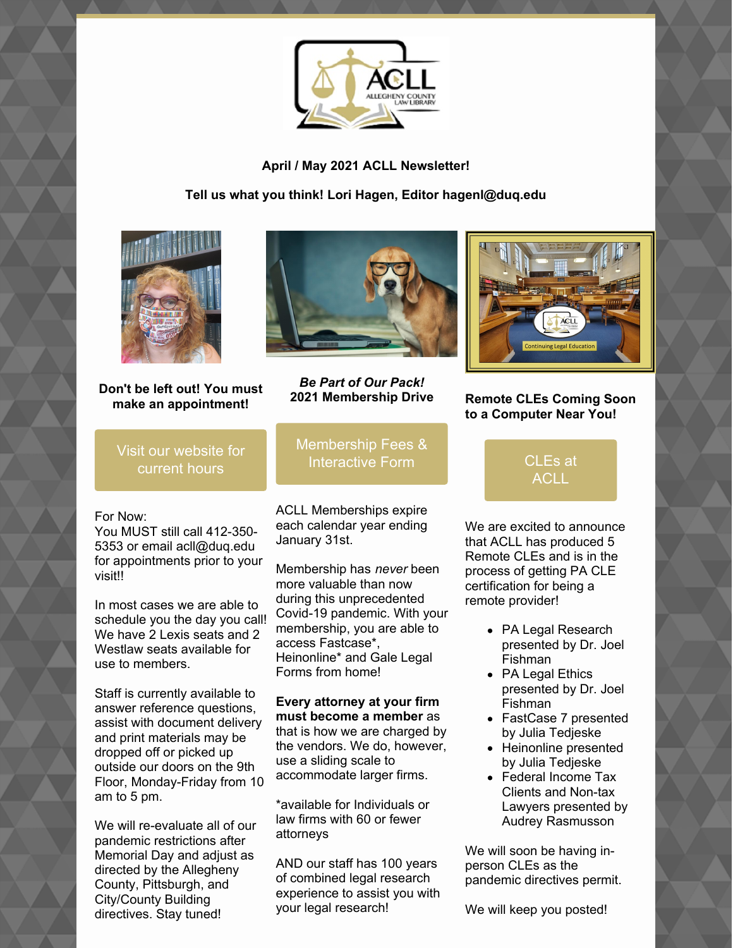

**April / May 2021 ACLL Newsletter!**

**Tell us what you think! Lori Hagen, Editor hagenl@duq.edu**



**Don't be left out! You must make an appointment!**

Visit our [website](https://www.acllib.org/) for current hours

For Now:

You MUST still call 412-350- 5353 or email acll@duq.edu for appointments prior to your visit!!

In most cases we are able to schedule you the day you call! We have 2 Lexis seats and 2 Westlaw seats available for use to members.

Staff is currently available to answer reference questions, assist with document delivery and print materials may be dropped off or picked up outside our doors on the 9th Floor, Monday-Friday from 10 am to 5 pm.

We will re-evaluate all of our pandemic restrictions after Memorial Day and adjust as directed by the Allegheny County, Pittsburgh, and City/County Building directives. Stay tuned!



*Be Part of Our Pack!* **2021 Membership Drive**

[Membership](https://www.acllib.org/index.php/membership/) Fees & Interactive Form

ACLL Memberships expire each calendar year ending January 31st.

Membership has *never* been more valuable than now during this unprecedented Covid-19 pandemic. With your membership, you are able to access Fastcase\*, Heinonline\* and Gale Legal Forms from home!

**Every attorney at your firm must become a member** as that is how we are charged by the vendors. We do, however, use a sliding scale to accommodate larger firms.

\*available for Individuals or law firms with 60 or fewer attorneys

AND our staff has 100 years of combined legal research experience to assist you with your legal research!



#### **Remote CLEs Coming Soon to a Computer Near You!**

[CLEs](https://www.acllib.org/events/) at **ACLL** 

We are excited to announce that ACLL has produced 5 Remote CLEs and is in the process of getting PA CLE certification for being a remote provider!

- PA Legal Research presented by Dr. Joel Fishman
- PA Legal Ethics presented by Dr. Joel Fishman
- FastCase 7 presented by Julia Tedjeske
- Heinonline presented by Julia Tedjeske
- Federal Income Tax Clients and Non-tax Lawyers presented by Audrey Rasmusson

We will soon be having inperson CLEs as the pandemic directives permit.

We will keep you posted!